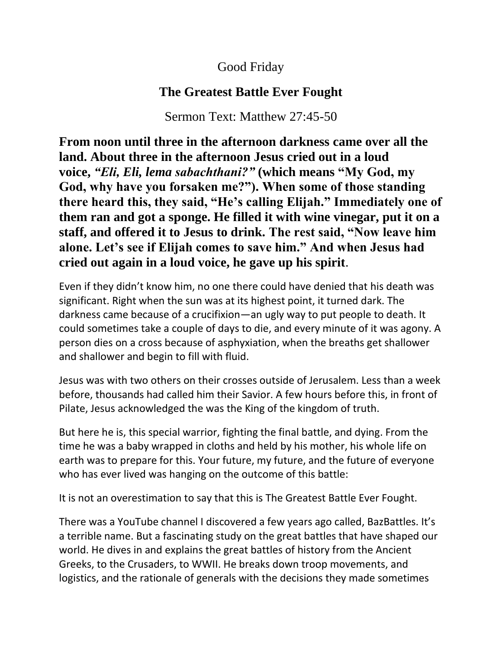## Good Friday

## **The Greatest Battle Ever Fought**

Sermon Text: Matthew 27:45-50

**From noon until three in the afternoon darkness came over all the land. About three in the afternoon Jesus cried out in a loud voice,** *"Eli, Eli, lema sabachthani?"* **(which means "My God, my God, why have you forsaken me?"). When some of those standing there heard this, they said, "He's calling Elijah." Immediately one of them ran and got a sponge. He filled it with wine vinegar, put it on a staff, and offered it to Jesus to drink. The rest said, "Now leave him alone. Let's see if Elijah comes to save him." And when Jesus had cried out again in a loud voice, he gave up his spirit**.

Even if they didn't know him, no one there could have denied that his death was significant. Right when the sun was at its highest point, it turned dark. The darkness came because of a crucifixion—an ugly way to put people to death. It could sometimes take a couple of days to die, and every minute of it was agony. A person dies on a cross because of asphyxiation, when the breaths get shallower and shallower and begin to fill with fluid.

Jesus was with two others on their crosses outside of Jerusalem. Less than a week before, thousands had called him their Savior. A few hours before this, in front of Pilate, Jesus acknowledged the was the King of the kingdom of truth.

But here he is, this special warrior, fighting the final battle, and dying. From the time he was a baby wrapped in cloths and held by his mother, his whole life on earth was to prepare for this. Your future, my future, and the future of everyone who has ever lived was hanging on the outcome of this battle:

It is not an overestimation to say that this is The Greatest Battle Ever Fought.

There was a YouTube channel I discovered a few years ago called, BazBattles. It's a terrible name. But a fascinating study on the great battles that have shaped our world. He dives in and explains the great battles of history from the Ancient Greeks, to the Crusaders, to WWII. He breaks down troop movements, and logistics, and the rationale of generals with the decisions they made sometimes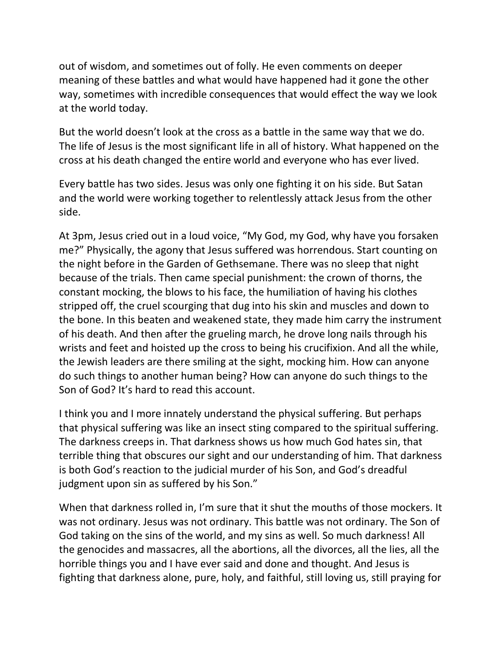out of wisdom, and sometimes out of folly. He even comments on deeper meaning of these battles and what would have happened had it gone the other way, sometimes with incredible consequences that would effect the way we look at the world today.

But the world doesn't look at the cross as a battle in the same way that we do. The life of Jesus is the most significant life in all of history. What happened on the cross at his death changed the entire world and everyone who has ever lived.

Every battle has two sides. Jesus was only one fighting it on his side. But Satan and the world were working together to relentlessly attack Jesus from the other side.

At 3pm, Jesus cried out in a loud voice, "My God, my God, why have you forsaken me?" Physically, the agony that Jesus suffered was horrendous. Start counting on the night before in the Garden of Gethsemane. There was no sleep that night because of the trials. Then came special punishment: the crown of thorns, the constant mocking, the blows to his face, the humiliation of having his clothes stripped off, the cruel scourging that dug into his skin and muscles and down to the bone. In this beaten and weakened state, they made him carry the instrument of his death. And then after the grueling march, he drove long nails through his wrists and feet and hoisted up the cross to being his crucifixion. And all the while, the Jewish leaders are there smiling at the sight, mocking him. How can anyone do such things to another human being? How can anyone do such things to the Son of God? It's hard to read this account.

I think you and I more innately understand the physical suffering. But perhaps that physical suffering was like an insect sting compared to the spiritual suffering. The darkness creeps in. That darkness shows us how much God hates sin, that terrible thing that obscures our sight and our understanding of him. That darkness is both God's reaction to the judicial murder of his Son, and God's dreadful judgment upon sin as suffered by his Son."

When that darkness rolled in, I'm sure that it shut the mouths of those mockers. It was not ordinary. Jesus was not ordinary. This battle was not ordinary. The Son of God taking on the sins of the world, and my sins as well. So much darkness! All the genocides and massacres, all the abortions, all the divorces, all the lies, all the horrible things you and I have ever said and done and thought. And Jesus is fighting that darkness alone, pure, holy, and faithful, still loving us, still praying for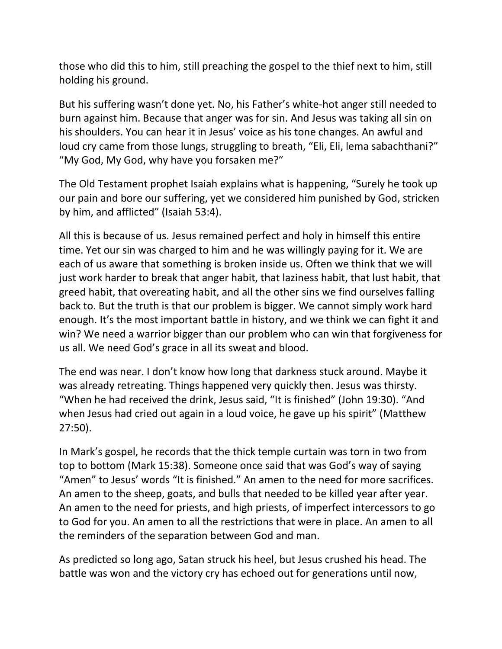those who did this to him, still preaching the gospel to the thief next to him, still holding his ground.

But his suffering wasn't done yet. No, his Father's white-hot anger still needed to burn against him. Because that anger was for sin. And Jesus was taking all sin on his shoulders. You can hear it in Jesus' voice as his tone changes. An awful and loud cry came from those lungs, struggling to breath, "Eli, Eli, lema sabachthani?" "My God, My God, why have you forsaken me?"

The Old Testament prophet Isaiah explains what is happening, "Surely he took up our pain and bore our suffering, yet we considered him punished by God, stricken by him, and afflicted" (Isaiah 53:4).

All this is because of us. Jesus remained perfect and holy in himself this entire time. Yet our sin was charged to him and he was willingly paying for it. We are each of us aware that something is broken inside us. Often we think that we will just work harder to break that anger habit, that laziness habit, that lust habit, that greed habit, that overeating habit, and all the other sins we find ourselves falling back to. But the truth is that our problem is bigger. We cannot simply work hard enough. It's the most important battle in history, and we think we can fight it and win? We need a warrior bigger than our problem who can win that forgiveness for us all. We need God's grace in all its sweat and blood.

The end was near. I don't know how long that darkness stuck around. Maybe it was already retreating. Things happened very quickly then. Jesus was thirsty. "When he had received the drink, Jesus said, "It is finished" (John 19:30). "And when Jesus had cried out again in a loud voice, he gave up his spirit" (Matthew 27:50).

In Mark's gospel, he records that the thick temple curtain was torn in two from top to bottom (Mark 15:38). Someone once said that was God's way of saying "Amen" to Jesus' words "It is finished." An amen to the need for more sacrifices. An amen to the sheep, goats, and bulls that needed to be killed year after year. An amen to the need for priests, and high priests, of imperfect intercessors to go to God for you. An amen to all the restrictions that were in place. An amen to all the reminders of the separation between God and man.

As predicted so long ago, Satan struck his heel, but Jesus crushed his head. The battle was won and the victory cry has echoed out for generations until now,